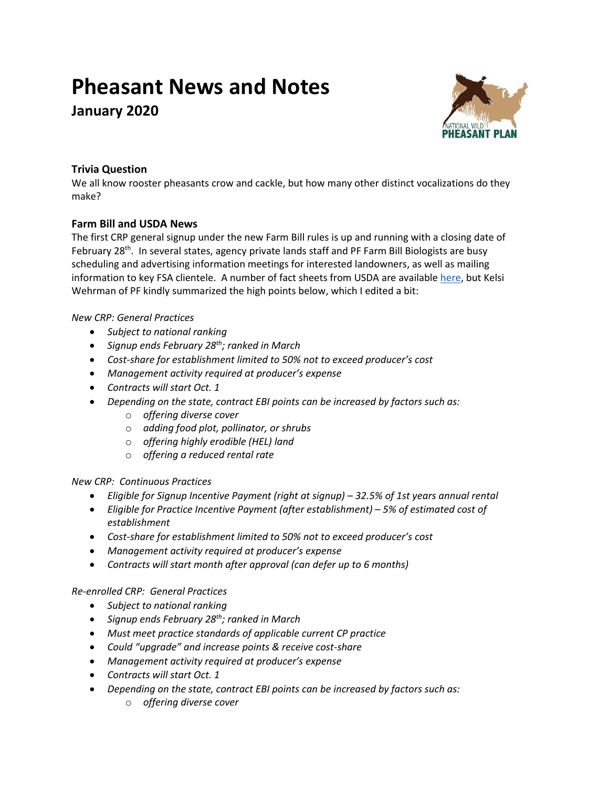# **Pheasant News and Notes**

**January 2020**



# **Trivia Question**

We all know rooster pheasants crow and cackle, but how many other distinct vocalizations do they make?

# **Farm Bill and USDA News**

The first CRP general signup under the new Farm Bill rules is up and running with a closing date of February 28<sup>th</sup>. In several states, agency private lands staff and PF Farm Bill Biologists are busy scheduling and advertising information meetings for interested landowners, as well as mailing information to key FSA clientele. A number of fact sheets from USDA are available [here,](https://www.fsa.usda.gov/programs-and-services/conservation-programs/conservation-reserve-program/index) but Kelsi Wehrman of PF kindly summarized the high points below, which I edited a bit:

# *New CRP: General Practices*

- *Subject to national ranking*
- *Signup ends February 28th; ranked in March*
- *Cost-share for establishment limited to 50% not to exceed producer's cost*
- *Management activity required at producer's expense*
- *Contracts will start Oct. 1*
- *Depending on the state, contract EBI points can be increased by factors such as:*
	- o *offering diverse cover*
	- o *adding food plot, pollinator, or shrubs*
	- o *offering highly erodible (HEL) land*
	- o *offering a reduced rental rate*

#### *New CRP: Continuous Practices*

- *Eligible for Signup Incentive Payment (right at signup) – 32.5% of 1st years annual rental*
- *Eligible for Practice Incentive Payment (after establishment) – 5% of estimated cost of establishment*
- *Cost-share for establishment limited to 50% not to exceed producer's cost*
- *Management activity required at producer's expense*
- *Contracts will start month after approval (can defer up to 6 months)*

#### *Re-enrolled CRP: General Practices*

- *Subject to national ranking*
- *Signup ends February 28th; ranked in March*
- *Must meet practice standards of applicable current CP practice*
- *Could "upgrade" and increase points & receive cost-share*
- *Management activity required at producer's expense*
- *Contracts will start Oct. 1*
- *Depending on the state, contract EBI points can be increased by factors such as:*
	- o *offering diverse cover*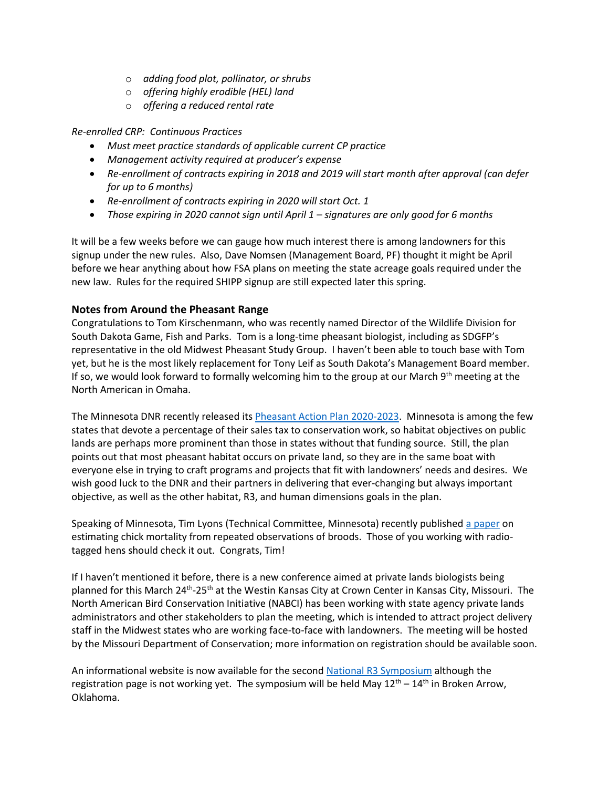- o *adding food plot, pollinator, or shrubs*
- o *offering highly erodible (HEL) land*
- o *offering a reduced rental rate*

*Re-enrolled CRP: Continuous Practices*

- *Must meet practice standards of applicable current CP practice*
- *Management activity required at producer's expense*
- *Re-enrollment of contracts expiring in 2018 and 2019 will start month after approval (can defer for up to 6 months)*
- *Re-enrollment of contracts expiring in 2020 will start Oct. 1*
- *Those expiring in 2020 cannot sign until April 1 – signatures are only good for 6 months*

It will be a few weeks before we can gauge how much interest there is among landowners for this signup under the new rules. Also, Dave Nomsen (Management Board, PF) thought it might be April before we hear anything about how FSA plans on meeting the state acreage goals required under the new law. Rules for the required SHIPP signup are still expected later this spring.

# **Notes from Around the Pheasant Range**

Congratulations to Tom Kirschenmann, who was recently named Director of the Wildlife Division for South Dakota Game, Fish and Parks. Tom is a long-time pheasant biologist, including as SDGFP's representative in the old Midwest Pheasant Study Group. I haven't been able to touch base with Tom yet, but he is the most likely replacement for Tony Leif as South Dakota's Management Board member. If so, we would look forward to formally welcoming him to the group at our March 9<sup>th</sup> meeting at the North American in Omaha.

The Minnesota DNR recently released it[s Pheasant Action Plan 2020-2023.](https://files.dnr.state.mn.us/wildlife/pheasant/pheasant_action_plan.pdf) Minnesota is among the few states that devote a percentage of their sales tax to conservation work, so habitat objectives on public lands are perhaps more prominent than those in states without that funding source. Still, the plan points out that most pheasant habitat occurs on private land, so they are in the same boat with everyone else in trying to craft programs and projects that fit with landowners' needs and desires. We wish good luck to the DNR and their partners in delivering that ever-changing but always important objective, as well as the other habitat, R3, and human dimensions goals in the plan.

Speaking of Minnesota, Tim Lyons (Technical Committee, Minnesota) recently publishe[d a paper](https://bioone.org/journals/wildlife-biology/volume-2020/issue-1/wlb.00529/Estimating-the-survival-of-unmarked-young-from-repeated-counts/10.2981/wlb.00529.full) on estimating chick mortality from repeated observations of broods. Those of you working with radiotagged hens should check it out. Congrats, Tim!

If I haven't mentioned it before, there is a new conference aimed at private lands biologists being planned for this March 24<sup>th</sup>-25<sup>th</sup> at the Westin Kansas City at Crown Center in Kansas City, Missouri. The North American Bird Conservation Initiative (NABCI) has been working with state agency private lands administrators and other stakeholders to plan the meeting, which is intended to attract project delivery staff in the Midwest states who are working face-to-face with landowners. The meeting will be hosted by the Missouri Department of Conservation; more information on registration should be available soon.

An informational website is now available for the second [National R3 Symposium](https://cahss.org/nationalr3symposium/) although the registration page is not working yet. The symposium will be held May  $12<sup>th</sup> - 14<sup>th</sup>$  in Broken Arrow, Oklahoma.